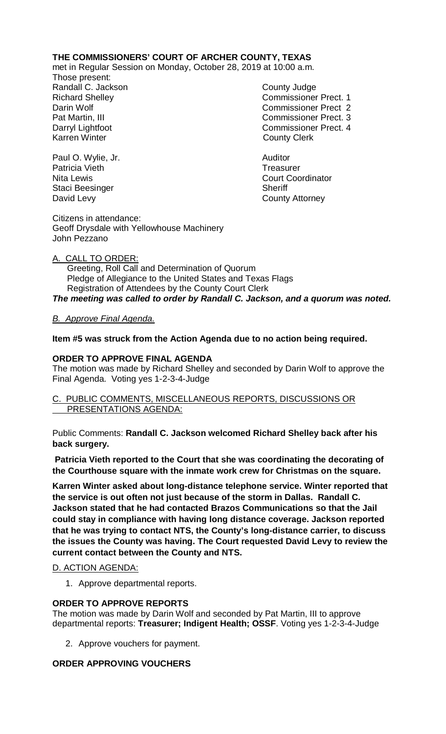# **THE COMMISSIONERS' COURT OF ARCHER COUNTY, TEXAS**

met in Regular Session on Monday, October 28, 2019 at 10:00 a.m.

Those present: Randall C. Jackson County Judge Karren Winter **County Clerk** 

Richard Shelley **Commissioner Prect. 1** Darin Wolf Commissioner Prect 2 Pat Martin, III Commissioner Prect. 3 Darryl Lightfoot **Commissioner Prect. 4** 

Paul O. Wylie, Jr. **Auditor** Auditor Patricia Vieth **Treasurer Treasurer** Nita Lewis **Court Coordinator** Court Coordinator Staci Beesinger Sheriff David Levy **County Attorney** 

Citizens in attendance: Geoff Drysdale with Yellowhouse Machinery John Pezzano

# A. CALL TO ORDER:

 Greeting, Roll Call and Determination of Quorum Pledge of Allegiance to the United States and Texas Flags Registration of Attendees by the County Court Clerk *The meeting was called to order by Randall C. Jackson, and a quorum was noted.*

# *B. Approve Final Agenda.*

# **Item #5 was struck from the Action Agenda due to no action being required.**

## **ORDER TO APPROVE FINAL AGENDA**

The motion was made by Richard Shelley and seconded by Darin Wolf to approve the Final Agenda. Voting yes 1-2-3-4-Judge

### C. PUBLIC COMMENTS, MISCELLANEOUS REPORTS, DISCUSSIONS OR PRESENTATIONS AGENDA:

Public Comments: **Randall C. Jackson welcomed Richard Shelley back after his back surgery.**

**Patricia Vieth reported to the Court that she was coordinating the decorating of the Courthouse square with the inmate work crew for Christmas on the square.** 

**Karren Winter asked about long-distance telephone service. Winter reported that the service is out often not just because of the storm in Dallas. Randall C. Jackson stated that he had contacted Brazos Communications so that the Jail could stay in compliance with having long distance coverage. Jackson reported that he was trying to contact NTS, the County's long-distance carrier, to discuss the issues the County was having. The Court requested David Levy to review the current contact between the County and NTS.**

## D. ACTION AGENDA:

1. Approve departmental reports.

## **ORDER TO APPROVE REPORTS**

The motion was made by Darin Wolf and seconded by Pat Martin, III to approve departmental reports: **Treasurer; Indigent Health; OSSF**. Voting yes 1-2-3-4-Judge

2. Approve vouchers for payment.

# **ORDER APPROVING VOUCHERS**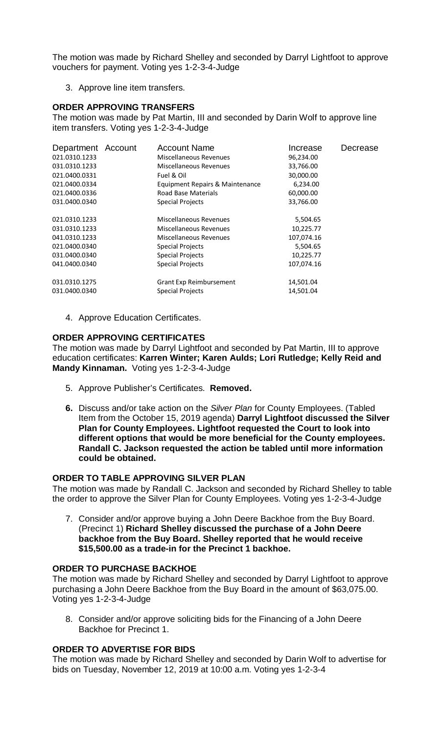The motion was made by Richard Shelley and seconded by Darryl Lightfoot to approve vouchers for payment. Voting yes 1-2-3-4-Judge

3. Approve line item transfers.

### **ORDER APPROVING TRANSFERS**

The motion was made by Pat Martin, III and seconded by Darin Wolf to approve line item transfers. Voting yes 1-2-3-4-Judge

| Department Account<br>021.0310.1233<br>031.0310.1233<br>021.0400.0331<br>021.0400.0334<br>021.0400.0336 | <b>Account Name</b><br>Miscellaneous Revenues<br>Miscellaneous Revenues<br>Fuel & Oil<br>Equipment Repairs & Maintenance<br>Road Base Materials | Increase<br>96,234.00<br>33,766.00<br>30,000.00<br>6,234.00<br>60,000.00 | Decrease |
|---------------------------------------------------------------------------------------------------------|-------------------------------------------------------------------------------------------------------------------------------------------------|--------------------------------------------------------------------------|----------|
| 031.0400.0340<br>021.0310.1233                                                                          | <b>Special Projects</b><br>Miscellaneous Revenues                                                                                               | 33,766.00<br>5,504.65                                                    |          |
| 031.0310.1233<br>041.0310.1233<br>021.0400.0340<br>031.0400.0340<br>041.0400.0340                       | Miscellaneous Revenues<br>Miscellaneous Revenues<br><b>Special Projects</b><br><b>Special Projects</b><br><b>Special Projects</b>               | 10,225.77<br>107,074.16<br>5,504.65<br>10,225.77<br>107,074.16           |          |
| 031.0310.1275<br>031.0400.0340                                                                          | Grant Exp Reimbursement<br>Special Projects                                                                                                     | 14,501.04<br>14,501.04                                                   |          |

4. Approve Education Certificates.

### **ORDER APPROVING CERTIFICATES**

The motion was made by Darryl Lightfoot and seconded by Pat Martin, III to approve education certificates: **Karren Winter; Karen Aulds; Lori Rutledge; Kelly Reid and Mandy Kinnaman.** Voting yes 1-2-3-4-Judge

- 5. Approve Publisher's Certificates. **Removed.**
- **6.** Discuss and/or take action on the *Silver Plan* for County Employees. (Tabled Item from the October 15, 2019 agenda) **Darryl Lightfoot discussed the Silver Plan for County Employees. Lightfoot requested the Court to look into different options that would be more beneficial for the County employees. Randall C. Jackson requested the action be tabled until more information could be obtained.**

#### **ORDER TO TABLE APPROVING SILVER PLAN**

The motion was made by Randall C. Jackson and seconded by Richard Shelley to table the order to approve the Silver Plan for County Employees. Voting yes 1-2-3-4-Judge

7. Consider and/or approve buying a John Deere Backhoe from the Buy Board. (Precinct 1) **Richard Shelley discussed the purchase of a John Deere backhoe from the Buy Board. Shelley reported that he would receive \$15,500.00 as a trade-in for the Precinct 1 backhoe.**

## **ORDER TO PURCHASE BACKHOE**

The motion was made by Richard Shelley and seconded by Darryl Lightfoot to approve purchasing a John Deere Backhoe from the Buy Board in the amount of \$63,075.00. Voting yes 1-2-3-4-Judge

8. Consider and/or approve soliciting bids for the Financing of a John Deere Backhoe for Precinct 1.

### **ORDER TO ADVERTISE FOR BIDS**

The motion was made by Richard Shelley and seconded by Darin Wolf to advertise for bids on Tuesday, November 12, 2019 at 10:00 a.m. Voting yes 1-2-3-4